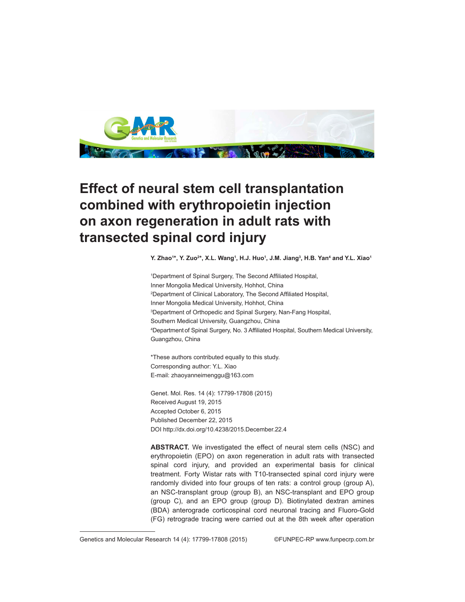

## **Effect of neural stem cell transplantation combined with erythropoietin injection on axon regeneration in adult rats with transected spinal cord injury**

Y. Zhao<sup>1</sup>\*, Y. Zuo<sup>2</sup>\*, X.L. Wang<sup>1</sup>, H.J. Huo<sup>1</sup>, J.M. Jiang<sup>3</sup>, H.B. Yan<sup>4</sup> and Y.L. Xiao<sup>1</sup>

1 Department of Spinal Surgery, The Second Affiliated Hospital, Inner Mongolia Medical University, Hohhot, China 2 Department of Clinical Laboratory, The Second Affiliated Hospital, Inner Mongolia Medical University, Hohhot, China 3 Department of Orthopedic and Spinal Surgery, Nan-Fang Hospital, Southern Medical University, Guangzhou, China 4 Department of Spinal Surgery, No. 3 Affiliated Hospital, Southern Medical University, Guangzhou, China

\*These authors contributed equally to this study. Corresponding author: Y.L. Xiao E-mail: zhaoyanneimenggu@163.com

Genet. Mol. Res. 14 (4): 17799-17808 (2015) Received August 19, 2015 Accepted October 6, 2015 Published December 22, 2015 DOI http://dx.doi.org/10.4238/2015.December.22.4

**ABSTRACT.** We investigated the effect of neural stem cells (NSC) and erythropoietin (EPO) on axon regeneration in adult rats with transected spinal cord injury, and provided an experimental basis for clinical treatment. Forty Wistar rats with T10-transected spinal cord injury were randomly divided into four groups of ten rats: a control group (group A), an NSC-transplant group (group B), an NSC-transplant and EPO group (group C), and an EPO group (group D). Biotinylated dextran amines (BDA) anterograde corticospinal cord neuronal tracing and Fluoro-Gold (FG) retrograde tracing were carried out at the 8th week after operation

Genetics and Molecular Research 14 (4): 17799-17808 (2015) ©FUNPEC-RP www.funpecrp.com.br